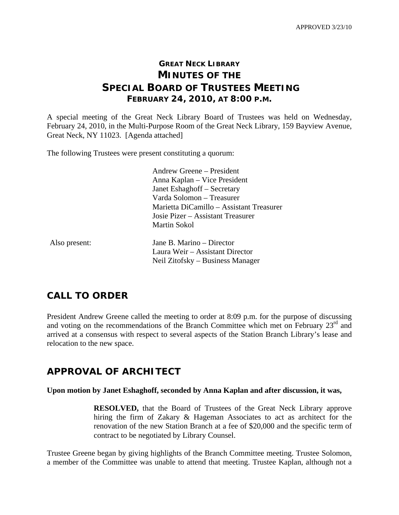## **GREAT NECK LIBRARY MINUTES OF THE SPECIAL BOARD OF TRUSTEES MEETING FEBRUARY 24, 2010, AT 8:00 P.M.**

A special meeting of the Great Neck Library Board of Trustees was held on Wednesday, February 24, 2010, in the Multi-Purpose Room of the Great Neck Library, 159 Bayview Avenue, Great Neck, NY 11023. [Agenda attached]

The following Trustees were present constituting a quorum:

 Andrew Greene – President Anna Kaplan – Vice President Janet Eshaghoff – Secretary Varda Solomon – Treasurer Marietta DiCamillo – Assistant Treasurer Josie Pizer – Assistant Treasurer Martin Sokol

Also present: Jane B. Marino – Director Laura Weir – Assistant Director Neil Zitofsky – Business Manager

### **CALL TO ORDER**

President Andrew Greene called the meeting to order at 8:09 p.m. for the purpose of discussing and voting on the recommendations of the Branch Committee which met on February 23<sup>rd</sup> and arrived at a consensus with respect to several aspects of the Station Branch Library's lease and relocation to the new space.

### **APPROVAL OF ARCHITECT**

#### **Upon motion by Janet Eshaghoff, seconded by Anna Kaplan and after discussion, it was,**

**RESOLVED,** that the Board of Trustees of the Great Neck Library approve hiring the firm of Zakary & Hageman Associates to act as architect for the renovation of the new Station Branch at a fee of \$20,000 and the specific term of contract to be negotiated by Library Counsel.

Trustee Greene began by giving highlights of the Branch Committee meeting. Trustee Solomon, a member of the Committee was unable to attend that meeting. Trustee Kaplan, although not a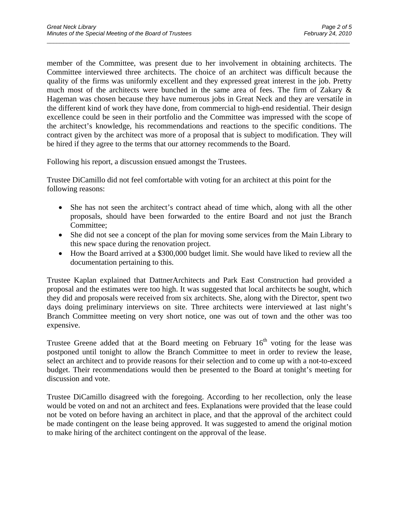member of the Committee, was present due to her involvement in obtaining architects. The Committee interviewed three architects. The choice of an architect was difficult because the quality of the firms was uniformly excellent and they expressed great interest in the job. Pretty much most of the architects were bunched in the same area of fees. The firm of Zakary & Hageman was chosen because they have numerous jobs in Great Neck and they are versatile in the different kind of work they have done, from commercial to high-end residential. Their design excellence could be seen in their portfolio and the Committee was impressed with the scope of the architect's knowledge, his recommendations and reactions to the specific conditions. The contract given by the architect was more of a proposal that is subject to modification. They will be hired if they agree to the terms that our attorney recommends to the Board.

\_\_\_\_\_\_\_\_\_\_\_\_\_\_\_\_\_\_\_\_\_\_\_\_\_\_\_\_\_\_\_\_\_\_\_\_\_\_\_\_\_\_\_\_\_\_\_\_\_\_\_\_\_\_\_\_\_\_\_\_\_\_\_\_\_\_\_\_\_\_\_\_\_\_\_\_\_\_\_\_\_\_\_\_\_\_\_\_\_\_\_\_\_

Following his report, a discussion ensued amongst the Trustees.

Trustee DiCamillo did not feel comfortable with voting for an architect at this point for the following reasons:

- She has not seen the architect's contract ahead of time which, along with all the other proposals, should have been forwarded to the entire Board and not just the Branch Committee;
- She did not see a concept of the plan for moving some services from the Main Library to this new space during the renovation project.
- How the Board arrived at a \$300,000 budget limit. She would have liked to review all the documentation pertaining to this.

Trustee Kaplan explained that DattnerArchitects and Park East Construction had provided a proposal and the estimates were too high. It was suggested that local architects be sought, which they did and proposals were received from six architects. She, along with the Director, spent two days doing preliminary interviews on site. Three architects were interviewed at last night's Branch Committee meeting on very short notice, one was out of town and the other was too expensive.

Trustee Greene added that at the Board meeting on February  $16<sup>th</sup>$  voting for the lease was postponed until tonight to allow the Branch Committee to meet in order to review the lease, select an architect and to provide reasons for their selection and to come up with a not-to-exceed budget. Their recommendations would then be presented to the Board at tonight's meeting for discussion and vote.

Trustee DiCamillo disagreed with the foregoing. According to her recollection, only the lease would be voted on and not an architect and fees. Explanations were provided that the lease could not be voted on before having an architect in place, and that the approval of the architect could be made contingent on the lease being approved. It was suggested to amend the original motion to make hiring of the architect contingent on the approval of the lease.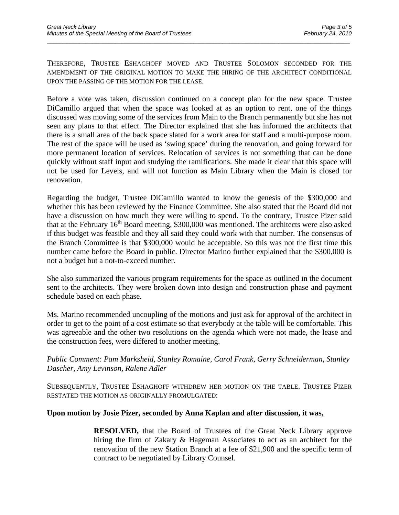THEREFORE, TRUSTEE ESHAGHOFF MOVED AND TRUSTEE SOLOMON SECONDED FOR THE AMENDMENT OF THE ORIGINAL MOTION TO MAKE THE HIRING OF THE ARCHITECT CONDITIONAL UPON THE PASSING OF THE MOTION FOR THE LEASE.

\_\_\_\_\_\_\_\_\_\_\_\_\_\_\_\_\_\_\_\_\_\_\_\_\_\_\_\_\_\_\_\_\_\_\_\_\_\_\_\_\_\_\_\_\_\_\_\_\_\_\_\_\_\_\_\_\_\_\_\_\_\_\_\_\_\_\_\_\_\_\_\_\_\_\_\_\_\_\_\_\_\_\_\_\_\_\_\_\_\_\_\_\_

Before a vote was taken, discussion continued on a concept plan for the new space. Trustee DiCamillo argued that when the space was looked at as an option to rent, one of the things discussed was moving some of the services from Main to the Branch permanently but she has not seen any plans to that effect. The Director explained that she has informed the architects that there is a small area of the back space slated for a work area for staff and a multi-purpose room. The rest of the space will be used as 'swing space' during the renovation, and going forward for more permanent location of services. Relocation of services is not something that can be done quickly without staff input and studying the ramifications. She made it clear that this space will not be used for Levels, and will not function as Main Library when the Main is closed for renovation.

Regarding the budget, Trustee DiCamillo wanted to know the genesis of the \$300,000 and whether this has been reviewed by the Finance Committee. She also stated that the Board did not have a discussion on how much they were willing to spend. To the contrary, Trustee Pizer said that at the February  $16<sup>th</sup>$  Board meeting, \$300,000 was mentioned. The architects were also asked if this budget was feasible and they all said they could work with that number. The consensus of the Branch Committee is that \$300,000 would be acceptable. So this was not the first time this number came before the Board in public. Director Marino further explained that the \$300,000 is not a budget but a not-to-exceed number.

She also summarized the various program requirements for the space as outlined in the document sent to the architects. They were broken down into design and construction phase and payment schedule based on each phase.

Ms. Marino recommended uncoupling of the motions and just ask for approval of the architect in order to get to the point of a cost estimate so that everybody at the table will be comfortable. This was agreeable and the other two resolutions on the agenda which were not made, the lease and the construction fees, were differed to another meeting.

*Public Comment: Pam Marksheid, Stanley Romaine, Carol Frank, Gerry Schneiderman, Stanley Dascher, Amy Levinson, Ralene Adler* 

SUBSEQUENTLY, TRUSTEE ESHAGHOFF WITHDREW HER MOTION ON THE TABLE. TRUSTEE PIZER RESTATED THE MOTION AS ORIGINALLY PROMULGATED:

#### **Upon motion by Josie Pizer, seconded by Anna Kaplan and after discussion, it was,**

**RESOLVED,** that the Board of Trustees of the Great Neck Library approve hiring the firm of Zakary & Hageman Associates to act as an architect for the renovation of the new Station Branch at a fee of \$21,900 and the specific term of contract to be negotiated by Library Counsel.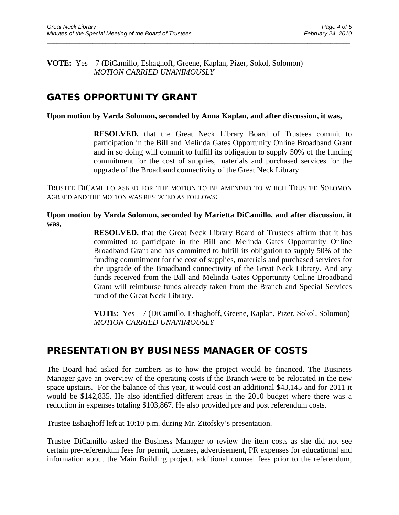**VOTE:** Yes – 7 (DiCamillo, Eshaghoff, Greene, Kaplan, Pizer, Sokol, Solomon)  *MOTION CARRIED UNANIMOUSLY* 

# **GATES OPPORTUNITY GRANT**

#### **Upon motion by Varda Solomon, seconded by Anna Kaplan, and after discussion, it was,**

\_\_\_\_\_\_\_\_\_\_\_\_\_\_\_\_\_\_\_\_\_\_\_\_\_\_\_\_\_\_\_\_\_\_\_\_\_\_\_\_\_\_\_\_\_\_\_\_\_\_\_\_\_\_\_\_\_\_\_\_\_\_\_\_\_\_\_\_\_\_\_\_\_\_\_\_\_\_\_\_\_\_\_\_\_\_\_\_\_\_\_\_\_

**RESOLVED,** that the Great Neck Library Board of Trustees commit to participation in the Bill and Melinda Gates Opportunity Online Broadband Grant and in so doing will commit to fulfill its obligation to supply 50% of the funding commitment for the cost of supplies, materials and purchased services for the upgrade of the Broadband connectivity of the Great Neck Library.

TRUSTEE DICAMILLO ASKED FOR THE MOTION TO BE AMENDED TO WHICH TRUSTEE SOLOMON AGREED AND THE MOTION WAS RESTATED AS FOLLOWS:

**Upon motion by Varda Solomon, seconded by Marietta DiCamillo, and after discussion, it was,** 

> **RESOLVED,** that the Great Neck Library Board of Trustees affirm that it has committed to participate in the Bill and Melinda Gates Opportunity Online Broadband Grant and has committed to fulfill its obligation to supply 50% of the funding commitment for the cost of supplies, materials and purchased services for the upgrade of the Broadband connectivity of the Great Neck Library. And any funds received from the Bill and Melinda Gates Opportunity Online Broadband Grant will reimburse funds already taken from the Branch and Special Services fund of the Great Neck Library.

> **VOTE:** Yes – 7 (DiCamillo, Eshaghoff, Greene, Kaplan, Pizer, Sokol, Solomon)  *MOTION CARRIED UNANIMOUSLY*

## **PRESENTATION BY BUSINESS MANAGER OF COSTS**

The Board had asked for numbers as to how the project would be financed. The Business Manager gave an overview of the operating costs if the Branch were to be relocated in the new space upstairs. For the balance of this year, it would cost an additional \$43,145 and for 2011 it would be \$142,835. He also identified different areas in the 2010 budget where there was a reduction in expenses totaling \$103,867. He also provided pre and post referendum costs.

Trustee Eshaghoff left at 10:10 p.m. during Mr. Zitofsky's presentation.

Trustee DiCamillo asked the Business Manager to review the item costs as she did not see certain pre-referendum fees for permit, licenses, advertisement, PR expenses for educational and information about the Main Building project, additional counsel fees prior to the referendum,